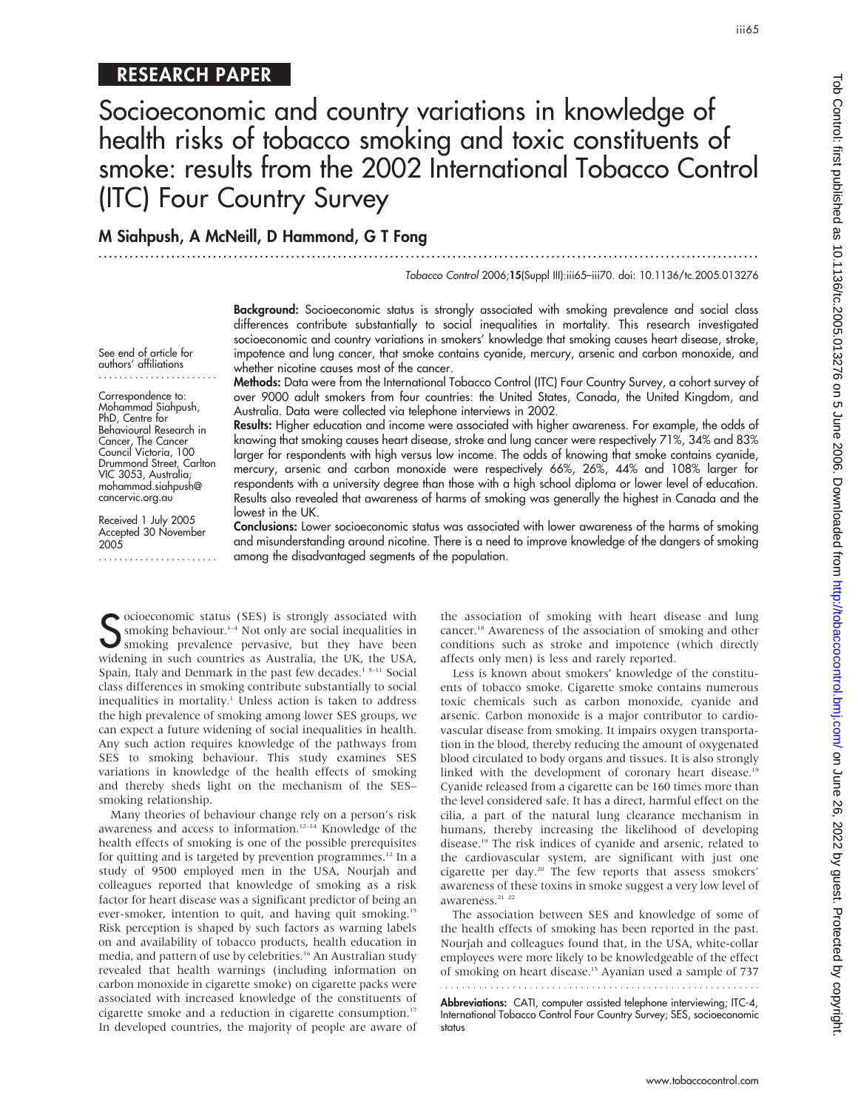# RESEARCH PAPER

Socioeconomic and country variations in knowledge of health risks of tobacco smoking and toxic constituents of smoke: results from the 2002 International Tobacco Control (ITC) Four Country Survey

# M Siahpush, A McNeill, D Hammond, G T Fong

.............................................................................................................................. .

Tobacco Control 2006;15(Suppl III):iii65–iii70. doi: 10.1136/tc.2005.013276

Background: Socioeconomic status is strongly associated with smoking prevalence and social class differences contribute substantially to social inequalities in mortality. This research investigated socioeconomic and country variations in smokers' knowledge that smoking causes heart disease, stroke, impotence and lung cancer, that smoke contains cyanide, mercury, arsenic and carbon monoxide, and whether nicotine causes most of the cancer.

authors' affiliations ....................... Correspondence to:

Mohammad Siahpush, PhD, Centre for Behavioural Research in Cancer, The Cancer Council Victoria, 100 Drummond Street, Carlton VIC 3053, Australia; mohammad.siahpush@ cancervic.org.au

See end of article for

Received 1 July 2005 Accepted 30 November 2005 ....................... Methods: Data were from the International Tobacco Control (ITC) Four Country Survey, a cohort survey of over 9000 adult smokers from four countries: the United States, Canada, the United Kingdom, and Australia. Data were collected via telephone interviews in 2002. Results: Higher education and income were associated with higher awareness. For example, the odds of

knowing that smoking causes heart disease, stroke and lung cancer were respectively 71%, 34% and 83% larger for respondents with high versus low income. The odds of knowing that smoke contains cyanide, mercury, arsenic and carbon monoxide were respectively 66%, 26%, 44% and 108% larger for respondents with a university degree than those with a high school diploma or lower level of education. Results also revealed that awareness of harms of smoking was generally the highest in Canada and the lowest in the UK.

Conclusions: Lower socioeconomic status was associated with lower awareness of the harms of smoking and misunderstanding around nicotine. There is a need to improve knowledge of the dangers of smoking among the disadvantaged segments of the population.

Sociated with<br>
Smoking behaviour.<sup>1-4</sup> Not only are social inequalities in<br>
smoking prevalence pervasive, but they have been<br>
widening in such countries as Australia, the UK, the USA, ocioeconomic status (SES) is strongly associated with smoking behaviour.<sup>1-4</sup> Not only are social inequalities in smoking prevalence pervasive, but they have been Spain, Italy and Denmark in the past few decades.<sup>15-11</sup> Social class differences in smoking contribute substantially to social inequalities in mortality.<sup>1</sup> Unless action is taken to address the high prevalence of smoking among lower SES groups, we can expect a future widening of social inequalities in health. Any such action requires knowledge of the pathways from SES to smoking behaviour. This study examines SES variations in knowledge of the health effects of smoking and thereby sheds light on the mechanism of the SES– smoking relationship.

Many theories of behaviour change rely on a person's risk awareness and access to information.12–14 Knowledge of the health effects of smoking is one of the possible prerequisites for quitting and is targeted by prevention programmes.<sup>12</sup> In a study of 9500 employed men in the USA, Nourjah and colleagues reported that knowledge of smoking as a risk factor for heart disease was a significant predictor of being an ever-smoker, intention to quit, and having quit smoking.<sup>15</sup> Risk perception is shaped by such factors as warning labels on and availability of tobacco products, health education in media, and pattern of use by celebrities.<sup>16</sup> An Australian study revealed that health warnings (including information on carbon monoxide in cigarette smoke) on cigarette packs were associated with increased knowledge of the constituents of cigarette smoke and a reduction in cigarette consumption.17 In developed countries, the majority of people are aware of

the association of smoking with heart disease and lung cancer.18 Awareness of the association of smoking and other conditions such as stroke and impotence (which directly affects only men) is less and rarely reported.

Less is known about smokers' knowledge of the constituents of tobacco smoke. Cigarette smoke contains numerous toxic chemicals such as carbon monoxide, cyanide and arsenic. Carbon monoxide is a major contributor to cardiovascular disease from smoking. It impairs oxygen transportation in the blood, thereby reducing the amount of oxygenated blood circulated to body organs and tissues. It is also strongly linked with the development of coronary heart disease.<sup>19</sup> Cyanide released from a cigarette can be 160 times more than the level considered safe. It has a direct, harmful effect on the cilia, a part of the natural lung clearance mechanism in humans, thereby increasing the likelihood of developing disease.19 The risk indices of cyanide and arsenic, related to the cardiovascular system, are significant with just one cigarette per day.20 The few reports that assess smokers' awareness of these toxins in smoke suggest a very low level of awareness.21 22

The association between SES and knowledge of some of the health effects of smoking has been reported in the past. Nourjah and colleagues found that, in the USA, white-collar employees were more likely to be knowledgeable of the effect of smoking on heart disease.<sup>15</sup> Ayanian used a sample of 737 

Abbreviations: CATI, computer assisted telephone interviewing; ITC-4, International Tobacco Control Four Country Survey; SES, socioeconomic status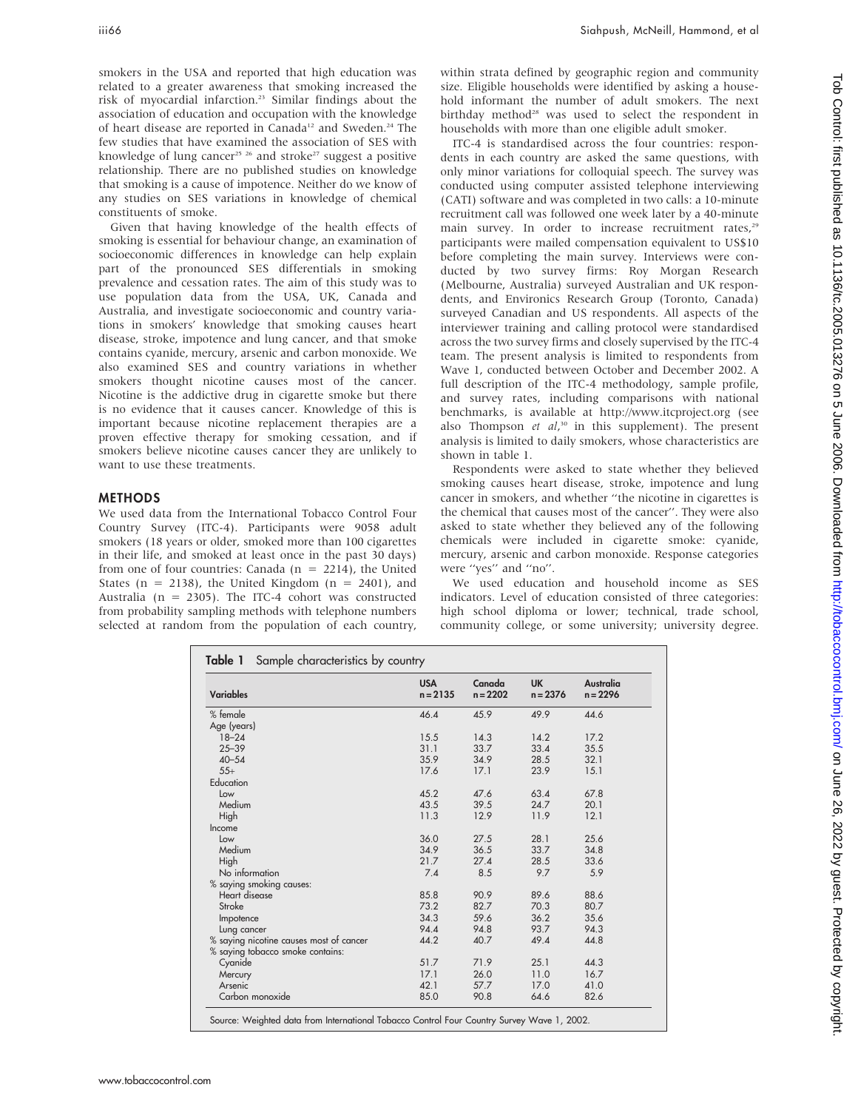smokers in the USA and reported that high education was related to a greater awareness that smoking increased the risk of myocardial infarction.23 Similar findings about the association of education and occupation with the knowledge of heart disease are reported in Canada<sup>12</sup> and Sweden.<sup>24</sup> The few studies that have examined the association of SES with knowledge of lung cancer<sup>25 26</sup> and stroke<sup>27</sup> suggest a positive relationship. There are no published studies on knowledge that smoking is a cause of impotence. Neither do we know of any studies on SES variations in knowledge of chemical constituents of smoke.

Given that having knowledge of the health effects of smoking is essential for behaviour change, an examination of socioeconomic differences in knowledge can help explain part of the pronounced SES differentials in smoking prevalence and cessation rates. The aim of this study was to use population data from the USA, UK, Canada and Australia, and investigate socioeconomic and country variations in smokers' knowledge that smoking causes heart disease, stroke, impotence and lung cancer, and that smoke contains cyanide, mercury, arsenic and carbon monoxide. We also examined SES and country variations in whether smokers thought nicotine causes most of the cancer. Nicotine is the addictive drug in cigarette smoke but there is no evidence that it causes cancer. Knowledge of this is important because nicotine replacement therapies are a proven effective therapy for smoking cessation, and if smokers believe nicotine causes cancer they are unlikely to want to use these treatments.

### METHODS

We used data from the International Tobacco Control Four Country Survey (ITC-4). Participants were 9058 adult smokers (18 years or older, smoked more than 100 cigarettes in their life, and smoked at least once in the past 30 days) from one of four countries: Canada ( $n = 2214$ ), the United States ( $n = 2138$ ), the United Kingdom ( $n = 2401$ ), and Australia ( $n = 2305$ ). The ITC-4 cohort was constructed from probability sampling methods with telephone numbers selected at random from the population of each country,

within strata defined by geographic region and community size. Eligible households were identified by asking a household informant the number of adult smokers. The next birthday method<sup>28</sup> was used to select the respondent in households with more than one eligible adult smoker.

ITC-4 is standardised across the four countries: respondents in each country are asked the same questions, with only minor variations for colloquial speech. The survey was conducted using computer assisted telephone interviewing (CATI) software and was completed in two calls: a 10-minute recruitment call was followed one week later by a 40-minute main survey. In order to increase recruitment rates,<sup>29</sup> participants were mailed compensation equivalent to US\$10 before completing the main survey. Interviews were conducted by two survey firms: Roy Morgan Research (Melbourne, Australia) surveyed Australian and UK respondents, and Environics Research Group (Toronto, Canada) surveyed Canadian and US respondents. All aspects of the interviewer training and calling protocol were standardised across the two survey firms and closely supervised by the ITC-4 team. The present analysis is limited to respondents from Wave 1, conducted between October and December 2002. A full description of the ITC-4 methodology, sample profile, and survey rates, including comparisons with national benchmarks, is available at http://www.itcproject.org (see also Thompson et al,<sup>30</sup> in this supplement). The present analysis is limited to daily smokers, whose characteristics are shown in table 1.

Respondents were asked to state whether they believed smoking causes heart disease, stroke, impotence and lung cancer in smokers, and whether ''the nicotine in cigarettes is the chemical that causes most of the cancer''. They were also asked to state whether they believed any of the following chemicals were included in cigarette smoke: cyanide, mercury, arsenic and carbon monoxide. Response categories were ''yes'' and ''no''.

We used education and household income as SES indicators. Level of education consisted of three categories: high school diploma or lower; technical, trade school, community college, or some university; university degree.

| <b>Variables</b>                        | <b>USA</b><br>$n = 2135$ | Canada<br>$n = 2202$ | <b>UK</b><br>$n = 2376$ | Australia<br>$n = 2296$ |
|-----------------------------------------|--------------------------|----------------------|-------------------------|-------------------------|
| $%$ female                              | 46.4                     | 45.9                 | 49.9                    | 44.6                    |
| Age (years)                             |                          |                      |                         |                         |
| $18 - 24$                               | 15.5                     | 14.3                 | 14.2                    | 17.2                    |
| $25 - 39$                               | 31.1                     | 33.7                 | 33.4                    | 35.5                    |
| $40 - 54$                               | 35.9                     | 34.9                 | 28.5                    | 32.1                    |
| $55+$                                   | 17.6                     | 17.1                 | 23.9                    | 15.1                    |
| Education                               |                          |                      |                         |                         |
| Low                                     | 45.2                     | 47.6                 | 63.4                    | 67.8                    |
| Medium                                  | 43.5                     | 39.5                 | 24.7                    | 20.1                    |
| High                                    | 11.3                     | 12.9                 | 11.9                    | 12.1                    |
| Income                                  |                          |                      |                         |                         |
| Low                                     | 36.0                     | 27.5                 | 28.1                    | 25.6                    |
| Medium                                  | 34.9                     | 36.5                 | 33.7                    | 34.8                    |
| High                                    | 21.7                     | 27.4                 | 28.5                    | 33.6                    |
| No information                          | 7.4                      | 8.5                  | 9.7                     | 5.9                     |
| % saying smoking causes:                |                          |                      |                         |                         |
| Heart disease                           | 85.8                     | 90.9                 | 89.6                    | 88.6                    |
| Stroke                                  | 73.2                     | 82.7                 | 70.3                    | 80.7                    |
| Impotence                               | 34.3                     | 59.6                 | 36.2                    | 35.6                    |
| Lung cancer                             | 94.4                     | 94.8                 | 93.7                    | 94.3                    |
| % saying nicotine causes most of cancer | 44.2                     | 40.7                 | 49.4                    | 44.8                    |
| % saying tobacco smoke contains:        |                          |                      |                         |                         |
| Cyanide                                 | 51.7                     | 71.9                 | 25.1                    | 44.3                    |
| Mercury                                 | 17.1                     | 26.0                 | 11.0                    | 16.7                    |
| Arsenic                                 | 42.1                     | 57.7                 | 17.0                    | 41.0                    |
| Carbon monoxide                         | 85.0                     | 90.8                 | 64.6                    | 82.6                    |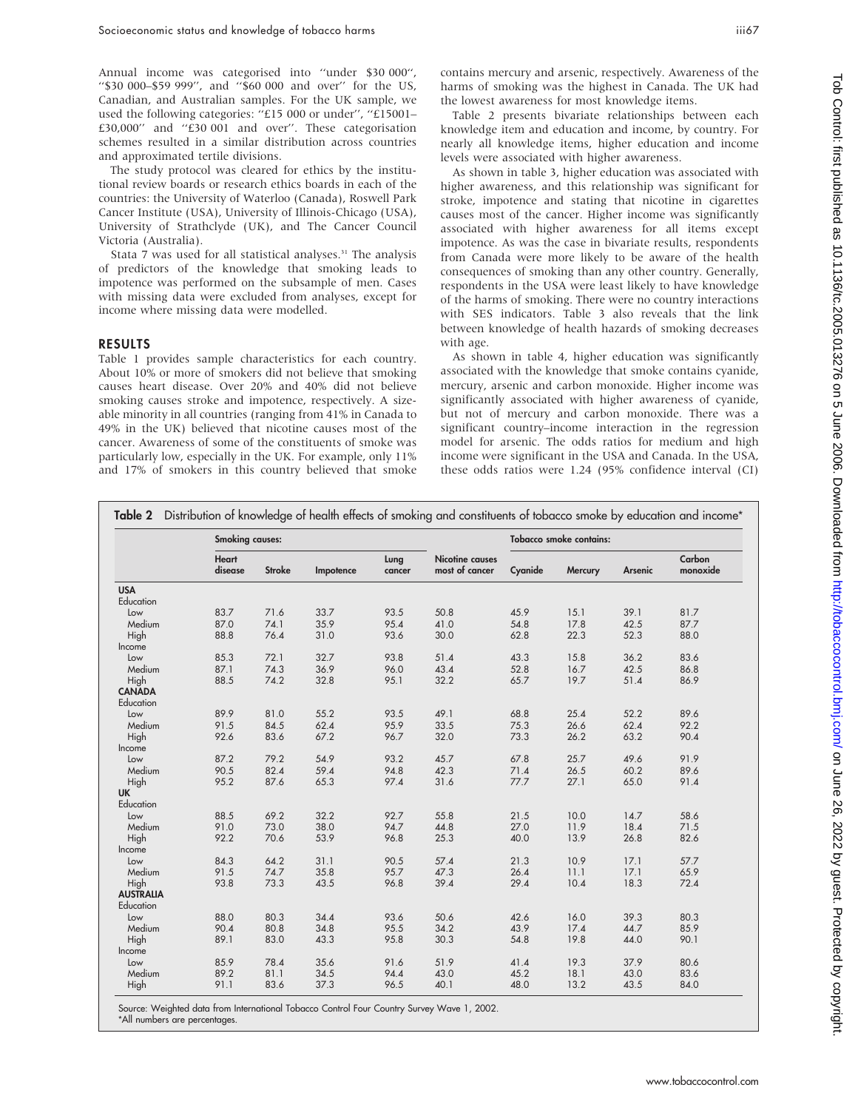Annual income was categorised into ''under \$30 000'', ''\$30 000–\$59 999'', and ''\$60 000 and over'' for the US, Canadian, and Australian samples. For the UK sample, we used the following categories: "£15 000 or under", "£15001-£30,000'' and ''£30 001 and over''. These categorisation schemes resulted in a similar distribution across countries and approximated tertile divisions.

The study protocol was cleared for ethics by the institutional review boards or research ethics boards in each of the countries: the University of Waterloo (Canada), Roswell Park Cancer Institute (USA), University of Illinois-Chicago (USA), University of Strathclyde (UK), and The Cancer Council Victoria (Australia).

Stata 7 was used for all statistical analyses.<sup>31</sup> The analysis of predictors of the knowledge that smoking leads to impotence was performed on the subsample of men. Cases with missing data were excluded from analyses, except for income where missing data were modelled.

#### RESULTS

Table 1 provides sample characteristics for each country. About 10% or more of smokers did not believe that smoking causes heart disease. Over 20% and 40% did not believe smoking causes stroke and impotence, respectively. A sizeable minority in all countries (ranging from 41% in Canada to 49% in the UK) believed that nicotine causes most of the cancer. Awareness of some of the constituents of smoke was particularly low, especially in the UK. For example, only 11% and 17% of smokers in this country believed that smoke

contains mercury and arsenic, respectively. Awareness of the harms of smoking was the highest in Canada. The UK had the lowest awareness for most knowledge items.

Table 2 presents bivariate relationships between each knowledge item and education and income, by country. For nearly all knowledge items, higher education and income levels were associated with higher awareness.

As shown in table 3, higher education was associated with higher awareness, and this relationship was significant for stroke, impotence and stating that nicotine in cigarettes causes most of the cancer. Higher income was significantly associated with higher awareness for all items except impotence. As was the case in bivariate results, respondents from Canada were more likely to be aware of the health consequences of smoking than any other country. Generally, respondents in the USA were least likely to have knowledge of the harms of smoking. There were no country interactions with SES indicators. Table 3 also reveals that the link between knowledge of health hazards of smoking decreases with age.

As shown in table 4, higher education was significantly associated with the knowledge that smoke contains cyanide, mercury, arsenic and carbon monoxide. Higher income was significantly associated with higher awareness of cyanide, but not of mercury and carbon monoxide. There was a significant country–income interaction in the regression model for arsenic. The odds ratios for medium and high income were significant in the USA and Canada. In the USA, these odds ratios were 1.24 (95% confidence interval (CI)

|                  | <b>Smoking causes:</b> |               |           |                |                                          | <b>Tobacco smoke contains:</b> |         |         |                    |
|------------------|------------------------|---------------|-----------|----------------|------------------------------------------|--------------------------------|---------|---------|--------------------|
|                  | Heart<br>disease       | <b>Stroke</b> | Impotence | Lung<br>cancer | <b>Nicotine causes</b><br>most of cancer | Cyanide                        | Mercury | Arsenic | Carbon<br>monoxide |
| <b>USA</b>       |                        |               |           |                |                                          |                                |         |         |                    |
| Education        |                        |               |           |                |                                          |                                |         |         |                    |
| Low              | 83.7                   | 71.6          | 33.7      | 93.5           | 50.8                                     | 45.9                           | 15.1    | 39.1    | 81.7               |
| Medium           | 87.0                   | 74.1          | 35.9      | 95.4           | 41.0                                     | 54.8                           | 17.8    | 42.5    | 87.7               |
| High             | 88.8                   | 76.4          | 31.0      | 93.6           | 30.0                                     | 62.8                           | 22.3    | 52.3    | 88.0               |
| Income           |                        |               |           |                |                                          |                                |         |         |                    |
| Low              | 85.3                   | 72.1          | 32.7      | 93.8           | 51.4                                     | 43.3                           | 15.8    | 36.2    | 83.6               |
| Medium           | 87.1                   | 74.3          | 36.9      | 96.0           | 43.4                                     | 52.8                           | 16.7    | 42.5    | 86.8               |
| High             | 88.5                   | 74.2          | 32.8      | 95.1           | 32.2                                     | 65.7                           | 19.7    | 51.4    | 86.9               |
| <b>CANADA</b>    |                        |               |           |                |                                          |                                |         |         |                    |
| Education        |                        |               |           |                |                                          |                                |         |         |                    |
| Low              | 89.9                   | 81.0          | 55.2      | 93.5           | 49.1                                     | 68.8                           | 25.4    | 52.2    | 89.6               |
| Medium           | 91.5                   | 84.5          | 62.4      | 95.9           | 33.5                                     | 75.3                           | 26.6    | 62.4    | 92.2               |
|                  |                        |               |           |                |                                          |                                |         |         |                    |
| High             | 92.6                   | 83.6          | 67.2      | 96.7           | 32.0                                     | 73.3                           | 26.2    | 63.2    | 90.4               |
| Income           |                        |               |           |                |                                          |                                |         |         |                    |
| Low              | 87.2                   | 79.2          | 54.9      | 93.2           | 45.7                                     | 67.8                           | 25.7    | 49.6    | 91.9               |
| Medium           | 90.5                   | 82.4          | 59.4      | 94.8           | 42.3                                     | 71.4                           | 26.5    | 60.2    | 89.6               |
| High             | 95.2                   | 87.6          | 65.3      | 97.4           | 31.6                                     | 77.7                           | 27.1    | 65.0    | 91.4               |
| <b>UK</b>        |                        |               |           |                |                                          |                                |         |         |                    |
| Education        |                        |               |           |                |                                          |                                |         |         |                    |
| Low              | 88.5                   | 69.2          | 32.2      | 92.7           | 55.8                                     | 21.5                           | 10.0    | 14.7    | 58.6               |
| Medium           | 91.0                   | 73.0          | 38.0      | 94.7           | 44.8                                     | 27.0                           | 11.9    | 18.4    | 71.5               |
| High             | 92.2                   | 70.6          | 53.9      | 96.8           | 25.3                                     | 40.0                           | 13.9    | 26.8    | 82.6               |
| Income           |                        |               |           |                |                                          |                                |         |         |                    |
| Low              | 84.3                   | 64.2          | 31.1      | 90.5           | 57.4                                     | 21.3                           | 10.9    | 17.1    | 57.7               |
| Medium           | 91.5                   | 74.7          | 35.8      | 95.7           | 47.3                                     | 26.4                           | 11.1    | 17.1    | 65.9               |
| High             | 93.8                   | 73.3          | 43.5      | 96.8           | 39.4                                     | 29.4                           | 10.4    | 18.3    | 72.4               |
| <b>AUSTRALIA</b> |                        |               |           |                |                                          |                                |         |         |                    |
| Education        |                        |               |           |                |                                          |                                |         |         |                    |
| Low              | 88.0                   | 80.3          | 34.4      | 93.6           | 50.6                                     | 42.6                           | 16.0    | 39.3    | 80.3               |
| Medium           |                        |               |           |                | 34.2                                     |                                |         | 44.7    | 85.9               |
|                  | 90.4                   | 80.8          | 34.8      | 95.5           |                                          | 43.9                           | 17.4    |         |                    |
| High             | 89.1                   | 83.0          | 43.3      | 95.8           | 30.3                                     | 54.8                           | 19.8    | 44.0    | 90.1               |
| Income           |                        |               |           |                |                                          |                                |         |         |                    |
| Low              | 85.9                   | 78.4          | 35.6      | 91.6           | 51.9                                     | 41.4                           | 19.3    | 37.9    | 80.6               |
| Medium           | 89.2                   | 81.1          | 34.5      | 94.4           | 43.0                                     | 45.2                           | 18.1    | 43.0    | 83.6               |
| High             | 91.1                   | 83.6          | 37.3      | 96.5           | 40.1                                     | 48.0                           | 13.2    | 43.5    | 84.0               |

Source: Weighted data from International Tobacco Control Four Country Survey Wave 1, 2002. \*All numbers are percentages.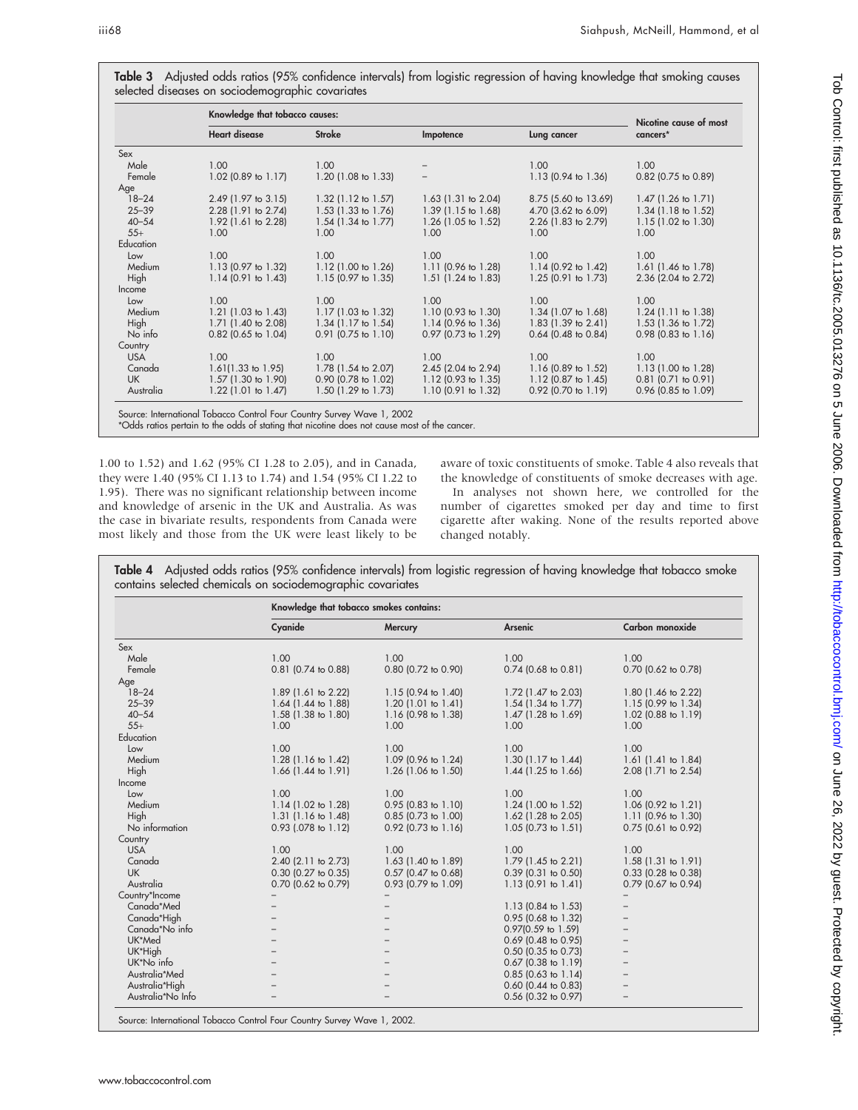| Table 3 Adjusted odds ratios (95% confidence intervals) from logistic regression of having knowledge that smoking causes |  |  |  |  |  |
|--------------------------------------------------------------------------------------------------------------------------|--|--|--|--|--|
| selected diseases on sociodemographic covariates                                                                         |  |  |  |  |  |

|            | Knowledge that tobacco causes: | Nicotine cause of most |                       |                       |                       |
|------------|--------------------------------|------------------------|-----------------------|-----------------------|-----------------------|
|            | <b>Heart disease</b>           | <b>Stroke</b>          | Impotence             | Lung cancer           | cancers*              |
| Sex        |                                |                        |                       |                       |                       |
| Male       | 1.00                           | 1.00                   |                       | 1.00                  | 1.00                  |
| Female     | 1.02 (0.89 to 1.17)            | $1.20$ (1.08 to 1.33)  |                       | 1.13 (0.94 to 1.36)   | 0.82 (0.75 to 0.89)   |
| Age        |                                |                        |                       |                       |                       |
| $18 - 24$  | 2.49 (1.97 to 3.15)            | $1.32$ (1.12 to 1.57)  | $1.63$ (1.31 to 2.04) | 8.75 (5.60 to 13.69)  | $1.47$ (1.26 to 1.71) |
| $25 - 39$  | $2.28$ (1.91 to 2.74)          | $1.53$ (1.33 to 1.76)  | $1.39$ (1.15 to 1.68) | 4.70 (3.62 to 6.09)   | $1.34$ (1.18 to 1.52) |
| $40 - 54$  | 1.92 (1.61 to 2.28)            | $1.54$ (1.34 to 1.77)  | $1.26$ (1.05 to 1.52) | 2.26 (1.83 to 2.79)   | $1.15$ (1.02 to 1.30) |
| $55+$      | 1.00                           | 1.00                   | 1.00                  | 1.00                  | 1.00                  |
| Education  |                                |                        |                       |                       |                       |
| Low        | 1.00                           | 1.00                   | 1.00                  | 1.00                  | 1.00                  |
| Medium     | 1.13 (0.97 to 1.32)            | $1.12$ (1.00 to 1.26)  | $1.11$ (0.96 to 1.28) | $1.14$ (0.92 to 1.42) | $1.61$ (1.46 to 1.78) |
| High       | $1.14$ (0.91 to 1.43)          | $1.15$ (0.97 to 1.35)  | $1.51$ (1.24 to 1.83) | $1.25$ (0.91 to 1.73) | 2.36 (2.04 to 2.72)   |
| Income     |                                |                        |                       |                       |                       |
| Low        | 1.00                           | 1.00                   | 1.00                  | 1.00                  | 1.00                  |
| Medium     | 1.21 $(1.03 \text{ to } 1.43)$ | 1.17 (1.03 to 1.32)    | $1.10$ (0.93 to 1.30) | $1.34$ (1.07 to 1.68) | $1.24$ (1.11 to 1.38) |
| High       | 1.71 (1.40 to 2.08)            | $1.34$ (1.17 to 1.54)  | $1.14$ (0.96 to 1.36) | $1.83$ (1.39 to 2.41) | $1.53$ (1.36 to 1.72) |
| No info    | $0.82$ (0.65 to 1.04)          | $0.91$ (0.75 to 1.10)  | $0.97$ (0.73 to 1.29) | $0.64$ (0.48 to 0.84) | $0.98$ (0.83 to 1.16) |
| Country    |                                |                        |                       |                       |                       |
| <b>USA</b> | 1.00                           | 1.00                   | 1.00                  | 1.00                  | 1.00                  |
| Canada     | $1.61(1.33 \text{ to } 1.95)$  | 1.78 (1.54 to 2.07)    | $2.45$ (2.04 to 2.94) | 1.16 (0.89 to 1.52)   | $1.13$ (1.00 to 1.28) |
| <b>UK</b>  | $1.57$ (1.30 to 1.90)          | $0.90$ (0.78 to 1.02)  | $1.12$ (0.93 to 1.35) | $1.12$ (0.87 to 1.45) | $0.81$ (0.71 to 0.91) |
| Australia  | $1.22$ (1.01 to 1.47)          | $1.50$ (1.29 to 1.73)  | $1.10$ (0.91 to 1.32) | $0.92$ (0.70 to 1.19) | 0.96 (0.85 to 1.09)   |

1.00 to 1.52) and 1.62 (95% CI 1.28 to 2.05), and in Canada, they were 1.40 (95% CI 1.13 to 1.74) and 1.54 (95% CI 1.22 to 1.95). There was no significant relationship between income and knowledge of arsenic in the UK and Australia. As was the case in bivariate results, respondents from Canada were most likely and those from the UK were least likely to be

aware of toxic constituents of smoke. Table 4 also reveals that the knowledge of constituents of smoke decreases with age.

In analyses not shown here, we controlled for the number of cigarettes smoked per day and time to first cigarette after waking. None of the results reported above changed notably.

|                   | Knowledge that tobacco smokes contains: |                                |                                |                       |  |  |  |
|-------------------|-----------------------------------------|--------------------------------|--------------------------------|-----------------------|--|--|--|
|                   | Cyanide                                 | Mercury                        | Arsenic                        | Carbon monoxide       |  |  |  |
| Sex               |                                         |                                |                                |                       |  |  |  |
| Male              | 1.00                                    | 1.00                           | 1.00                           | 1.00                  |  |  |  |
| Female            | 0.81 (0.74 to 0.88)                     | 0.80 (0.72 to 0.90)            | $0.74$ (0.68 to 0.81)          | 0.70 (0.62 to 0.78)   |  |  |  |
| Age               |                                         |                                |                                |                       |  |  |  |
| $18 - 24$         | 1.89 (1.61 to 2.22)                     | $1.15(0.94 \text{ to } 1.40)$  | 1.72 (1.47 to 2.03)            | 1.80 (1.46 to 2.22)   |  |  |  |
| $25 - 39$         | 1.64 (1.44 to 1.88)                     | 1.20 $(1.01$ to $1.41)$        | 1.54 $(1.34 \text{ to } 1.77)$ | 1.15 (0.99 to 1.34)   |  |  |  |
| $40 - 54$         | 1.58 (1.38 to 1.80)                     | 1.16 (0.98 to 1.38)            | 1.47 (1.28 to 1.69)            | 1.02 (0.88 to 1.19)   |  |  |  |
| $55+$             | 1.00                                    | 1.00                           | 1.00                           | 1.00                  |  |  |  |
| Education         |                                         |                                |                                |                       |  |  |  |
| Low               | 1.00                                    | 1.00                           | 1.00                           | 1.00                  |  |  |  |
| Medium            | 1.28 (1.16 to 1.42)                     | 1.09 (0.96 to 1.24)            | 1.30 (1.17 to 1.44)            | 1.61 (1.41 to 1.84)   |  |  |  |
| High              | 1.66 (1.44 to 1.91)                     | 1.26 $(1.06 \text{ to } 1.50)$ | 1.44 (1.25 to 1.66)            | 2.08 (1.71 to 2.54)   |  |  |  |
| Income            |                                         |                                |                                |                       |  |  |  |
| Low               | 1.00                                    | 1.00                           | 1.00                           | 1.00                  |  |  |  |
| Medium            | 1.14 (1.02 to 1.28)                     | $0.95$ (0.83 to 1.10)          | 1.24 (1.00 to 1.52)            | 1.06 (0.92 to 1.21)   |  |  |  |
| High              | $1.31$ (1.16 to 1.48)                   | $0.85$ (0.73 to 1.00)          | 1.62 (1.28 to 2.05)            | 1.11 (0.96 to 1.30)   |  |  |  |
| No information    | $0.93$ (.078 to 1.12)                   | $0.92$ (0.73 to 1.16)          | $1.05$ (0.73 to 1.51)          | $0.75$ (0.61 to 0.92) |  |  |  |
| Country           |                                         |                                |                                |                       |  |  |  |
| <b>USA</b>        | 1.00                                    | 1.00                           | 1.00                           | 1.00                  |  |  |  |
| Canada            | 2.40 (2.11 to 2.73)                     | $1.63$ (1.40 to 1.89)          | 1.79 $(1.45 \text{ to } 2.21)$ | $1.58$ (1.31 to 1.91) |  |  |  |
| <b>UK</b>         | $0.30$ (0.27 to 0.35)                   | $0.57$ (0.47 to 0.68)          | $0.39$ (0.31 to 0.50)          | $0.33$ (0.28 to 0.38) |  |  |  |
| Australia         | 0.70 (0.62 to 0.79)                     | $0.93$ (0.79 to 1.09)          | $1.13$ (0.91 to $1.41$ )       | $0.79$ (0.67 to 0.94) |  |  |  |
| Country*Income    |                                         |                                |                                |                       |  |  |  |
| Canada*Med        |                                         |                                | $1.13$ (0.84 to 1.53)          |                       |  |  |  |
| Canada*High       |                                         |                                | $0.95$ (0.68 to 1.32)          |                       |  |  |  |
| Canada*No info    |                                         |                                | $0.97(0.59)$ to 1.59)          |                       |  |  |  |
| UK*Med            |                                         |                                | $0.69$ (0.48 to 0.95)          |                       |  |  |  |
| UK*High           |                                         |                                | $0.50$ (0.35 to 0.73)          |                       |  |  |  |
| UK*No info        |                                         |                                | $0.67$ (0.38 to 1.19)          |                       |  |  |  |
| Australia*Med     |                                         |                                | $0.85$ (0.63 to 1.14)          |                       |  |  |  |
| Australia*High    |                                         |                                | $0.60$ (0.44 to 0.83)          |                       |  |  |  |
| Australia*No Info |                                         |                                | $0.56$ (0.32 to 0.97)          | $\qquad \qquad -$     |  |  |  |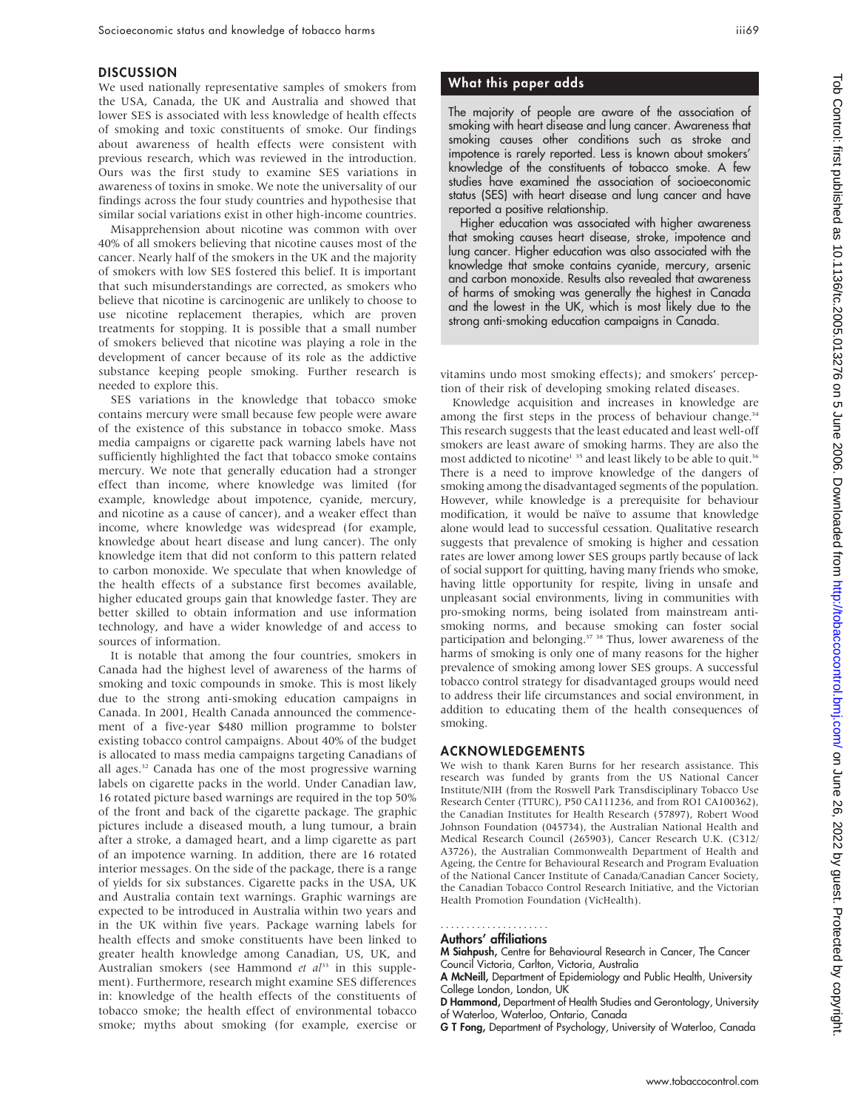#### **DISCUSSION**

We used nationally representative samples of smokers from the USA, Canada, the UK and Australia and showed that lower SES is associated with less knowledge of health effects of smoking and toxic constituents of smoke. Our findings about awareness of health effects were consistent with previous research, which was reviewed in the introduction. Ours was the first study to examine SES variations in awareness of toxins in smoke. We note the universality of our findings across the four study countries and hypothesise that similar social variations exist in other high-income countries.

Misapprehension about nicotine was common with over 40% of all smokers believing that nicotine causes most of the cancer. Nearly half of the smokers in the UK and the majority of smokers with low SES fostered this belief. It is important that such misunderstandings are corrected, as smokers who believe that nicotine is carcinogenic are unlikely to choose to use nicotine replacement therapies, which are proven treatments for stopping. It is possible that a small number of smokers believed that nicotine was playing a role in the development of cancer because of its role as the addictive substance keeping people smoking. Further research is needed to explore this.

SES variations in the knowledge that tobacco smoke contains mercury were small because few people were aware of the existence of this substance in tobacco smoke. Mass media campaigns or cigarette pack warning labels have not sufficiently highlighted the fact that tobacco smoke contains mercury. We note that generally education had a stronger effect than income, where knowledge was limited (for example, knowledge about impotence, cyanide, mercury, and nicotine as a cause of cancer), and a weaker effect than income, where knowledge was widespread (for example, knowledge about heart disease and lung cancer). The only knowledge item that did not conform to this pattern related to carbon monoxide. We speculate that when knowledge of the health effects of a substance first becomes available, higher educated groups gain that knowledge faster. They are better skilled to obtain information and use information technology, and have a wider knowledge of and access to sources of information.

It is notable that among the four countries, smokers in Canada had the highest level of awareness of the harms of smoking and toxic compounds in smoke. This is most likely due to the strong anti-smoking education campaigns in Canada. In 2001, Health Canada announced the commencement of a five-year \$480 million programme to bolster existing tobacco control campaigns. About 40% of the budget is allocated to mass media campaigns targeting Canadians of all ages.32 Canada has one of the most progressive warning labels on cigarette packs in the world. Under Canadian law, 16 rotated picture based warnings are required in the top 50% of the front and back of the cigarette package. The graphic pictures include a diseased mouth, a lung tumour, a brain after a stroke, a damaged heart, and a limp cigarette as part of an impotence warning. In addition, there are 16 rotated interior messages. On the side of the package, there is a range of yields for six substances. Cigarette packs in the USA, UK and Australia contain text warnings. Graphic warnings are expected to be introduced in Australia within two years and in the UK within five years. Package warning labels for health effects and smoke constituents have been linked to greater health knowledge among Canadian, US, UK, and Australian smokers (see Hammond et  $al^{33}$  in this supplement). Furthermore, research might examine SES differences in: knowledge of the health effects of the constituents of tobacco smoke; the health effect of environmental tobacco smoke; myths about smoking (for example, exercise or

## What this paper adds

The majority of people are aware of the association of smoking with heart disease and lung cancer. Awareness that smoking causes other conditions such as stroke and impotence is rarely reported. Less is known about smokers' knowledge of the constituents of tobacco smoke. A few studies have examined the association of socioeconomic status (SES) with heart disease and lung cancer and have reported a positive relationship.

Higher education was associated with higher awareness that smoking causes heart disease, stroke, impotence and lung cancer. Higher education was also associated with the knowledge that smoke contains cyanide, mercury, arsenic and carbon monoxide. Results also revealed that awareness of harms of smoking was generally the highest in Canada and the lowest in the UK, which is most likely due to the strong anti-smoking education campaigns in Canada.

vitamins undo most smoking effects); and smokers' perception of their risk of developing smoking related diseases.

Knowledge acquisition and increases in knowledge are among the first steps in the process of behaviour change.<sup>34</sup> This research suggests that the least educated and least well-off smokers are least aware of smoking harms. They are also the most addicted to nicotine<sup>1 35</sup> and least likely to be able to quit.<sup>36</sup> There is a need to improve knowledge of the dangers of smoking among the disadvantaged segments of the population. However, while knowledge is a prerequisite for behaviour modification, it would be naïve to assume that knowledge alone would lead to successful cessation. Qualitative research suggests that prevalence of smoking is higher and cessation rates are lower among lower SES groups partly because of lack of social support for quitting, having many friends who smoke, having little opportunity for respite, living in unsafe and unpleasant social environments, living in communities with pro-smoking norms, being isolated from mainstream antismoking norms, and because smoking can foster social participation and belonging.<sup>37</sup> <sup>38</sup> Thus, lower awareness of the harms of smoking is only one of many reasons for the higher prevalence of smoking among lower SES groups. A successful tobacco control strategy for disadvantaged groups would need to address their life circumstances and social environment, in addition to educating them of the health consequences of smoking.

#### ACKNOWLEDGEMENTS

We wish to thank Karen Burns for her research assistance. This research was funded by grants from the US National Cancer Institute/NIH (from the Roswell Park Transdisciplinary Tobacco Use Research Center (TTURC), P50 CA111236, and from RO1 CA100362), the Canadian Institutes for Health Research (57897), Robert Wood Johnson Foundation (045734), the Australian National Health and Medical Research Council (265903), Cancer Research U.K. (C312/ A3726), the Australian Commonwealth Department of Health and Ageing, the Centre for Behavioural Research and Program Evaluation of the National Cancer Institute of Canada/Canadian Cancer Society, the Canadian Tobacco Control Research Initiative, and the Victorian Health Promotion Foundation (VicHealth).

#### Authors' affiliations .....................

M Siahpush, Centre for Behavioural Research in Cancer, The Cancer Council Victoria, Carlton, Victoria, Australia

A McNeill, Department of Epidemiology and Public Health, University College London, London, UK

D Hammond, Department of Health Studies and Gerontology, University of Waterloo, Waterloo, Ontario, Canada

G T Fong, Department of Psychology, University of Waterloo, Canada